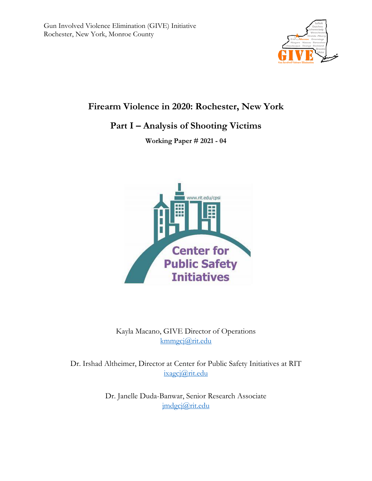

# **Firearm Violence in 2020: Rochester, New York**

# **Part I – Analysis of Shooting Victims**

**Working Paper # 2021 - 04**



Kayla Macano, GIVE Director of Operations [kmmgcj@rit.edu](mailto:kmmgcj@rit.edu)

Dr. Irshad Altheimer, Director at Center for Public Safety Initiatives at RIT [ixagcj@rit.edu](mailto:ixagcj@rit.edu)

> Dr. Janelle Duda-Banwar, Senior Research Associate [jmdgcj@rit.edu](mailto:jmdgcj@rit.edu)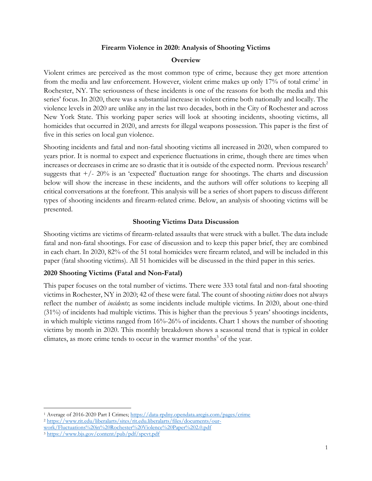#### **Firearm Violence in 2020: Analysis of Shooting Victims**

#### **Overview**

Violent crimes are perceived as the most common type of crime, because they get more attention from the media and law enforcement. However, violent crime makes up only 17% of total crime<sup>1</sup> in Rochester, NY. The seriousness of these incidents is one of the reasons for both the media and this series' focus. In 2020, there was a substantial increase in violent crime both nationally and locally. The violence levels in 2020 are unlike any in the last two decades, both in the City of Rochester and across New York State. This working paper series will look at shooting incidents, shooting victims, all homicides that occurred in 2020, and arrests for illegal weapons possession. This paper is the first of five in this series on local gun violence.

Shooting incidents and fatal and non-fatal shooting victims all increased in 2020, when compared to years prior. It is normal to expect and experience fluctuations in crime, though there are times when increases or decreases in crime are so drastic that it is outside of the expected norm. Previous research<sup>2</sup> suggests that  $+/- 20\%$  is an 'expected' fluctuation range for shootings. The charts and discussion below will show the increase in these incidents, and the authors will offer solutions to keeping all critical conversations at the forefront. This analysis will be a series of short papers to discuss different types of shooting incidents and firearm-related crime. Below, an analysis of shooting victims will be presented.

### **Shooting Victims Data Discussion**

Shooting victims are victims of firearm-related assaults that were struck with a bullet. The data include fatal and non-fatal shootings. For ease of discussion and to keep this paper brief, they are combined in each chart. In 2020, 82% of the 51 total homicides were firearm related, and will be included in this paper (fatal shooting victims). All 51 homicides will be discussed in the third paper in this series.

### **2020 Shooting Victims (Fatal and Non-Fatal)**

This paper focuses on the total number of victims. There were 333 total fatal and non-fatal shooting victims in Rochester, NY in 2020; 42 of these were fatal. The count of shooting *victims* does not always reflect the number of *incidents*; as some incidents include multiple victims. In 2020, about one-third (31%) of incidents had multiple victims. This is higher than the previous 5 years' shootings incidents, in which multiple victims ranged from 16%-26% of incidents. Chart 1 shows the number of shooting victims by month in 2020. This monthly breakdown shows a seasonal trend that is typical in colder climates, as more crime tends to occur in the warmer months<sup>3</sup> of the year.

 $\overline{\phantom{a}}$ 

<sup>1</sup> Average of 2016-2020 Part I Crimes[; https://data-rpdny.opendata.arcgis.com/pages/crime](https://data-rpdny.opendata.arcgis.com/pages/crime) <sup>2</sup> [https://www.rit.edu/liberalarts/sites/rit.edu.liberalarts/files/documents/our-](https://www.rit.edu/liberalarts/sites/rit.edu.liberalarts/files/documents/our-work/Fluctuations%20in%20Rochester%20Violence%20Paper%202.0.pdf)

[work/Fluctuations%20in%20Rochester%20Violence%20Paper%202.0.pdf](https://www.rit.edu/liberalarts/sites/rit.edu.liberalarts/files/documents/our-work/Fluctuations%20in%20Rochester%20Violence%20Paper%202.0.pdf)

<sup>3</sup> <https://www.bjs.gov/content/pub/pdf/spcvt.pdf>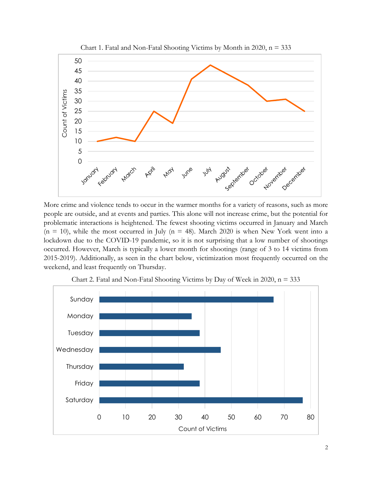

More crime and violence tends to occur in the warmer months for a variety of reasons, such as more people are outside, and at events and parties. This alone will not increase crime, but the potential for problematic interactions is heightened. The fewest shooting victims occurred in January and March  $(n = 10)$ , while the most occurred in July  $(n = 48)$ . March 2020 is when New York went into a lockdown due to the COVID-19 pandemic, so it is not surprising that a low number of shootings occurred. However, March is typically a lower month for shootings (range of 3 to 14 victims from 2015-2019). Additionally, as seen in the chart below, victimization most frequently occurred on the weekend, and least frequently on Thursday.



Chart 2. Fatal and Non-Fatal Shooting Victims by Day of Week in 2020,  $n = 333$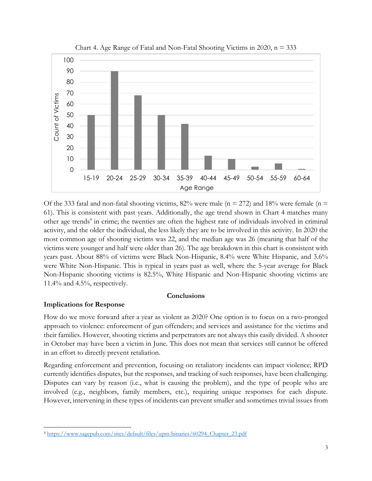

Chart 4. Age Range of Fatal and Non-Fatal Shooting Victims in 2020,  $n = 333$ 

Of the 333 fatal and non-fatal shooting victims, 82% were male ( $n = 272$ ) and 18% were female ( $n =$ 61). This is consistent with past years. Additionally, the age trend shown in Chart 4 matches many other age trends<sup>4</sup> in crime; the twenties are often the highest rate of individuals involved in criminal activity, and the older the individual, the less likely they are to be involved in this activity. In 2020 the most common age of shooting victims was 22, and the median age was 26 (meaning that half of the victims were younger and half were older than 26). The age breakdown in this chart is consistent with years past. About 88% of victims were Black Non-Hispanic, 8.4% were White Hispanic, and 3.6% were White Non-Hispanic. This is typical in years past as well, where the 5-year average for Black Non-Hispanic shooting victims is 82.5%, White Hispanic and Non-Hispanic shooting victims are 11.4% and 4.5%, respectively.

#### **Conclusions**

#### **Implications for Response**

 $\overline{\phantom{a}}$ 

How do we move forward after a year as violent as 2020? One option is to focus on a two-pronged approach to violence: enforcement of gun offenders; and services and assistance for the victims and their families. However, shooting victims and perpetrators are not always this easily divided. A shooter in October may have been a victim in June. This does not mean that services still cannot be offered in an effort to directly prevent retaliation.

Regarding enforcement and prevention, focusing on retaliatory incidents can impact violence; RPD currently identifies disputes, but the responses, and tracking of such responses, have been challenging. Disputes can vary by reason (i.e., what is causing the problem), and the type of people who are involved (e.g., neighbors, family members, etc.), requiring unique responses for each dispute. However, intervening in these types of incidents can prevent smaller and sometimes trivial issues from

<sup>4</sup> [https://www.sagepub.com/sites/default/files/upm-binaries/60294\\_Chapter\\_23.pdf](https://www.sagepub.com/sites/default/files/upm-binaries/60294_Chapter_23.pdf)